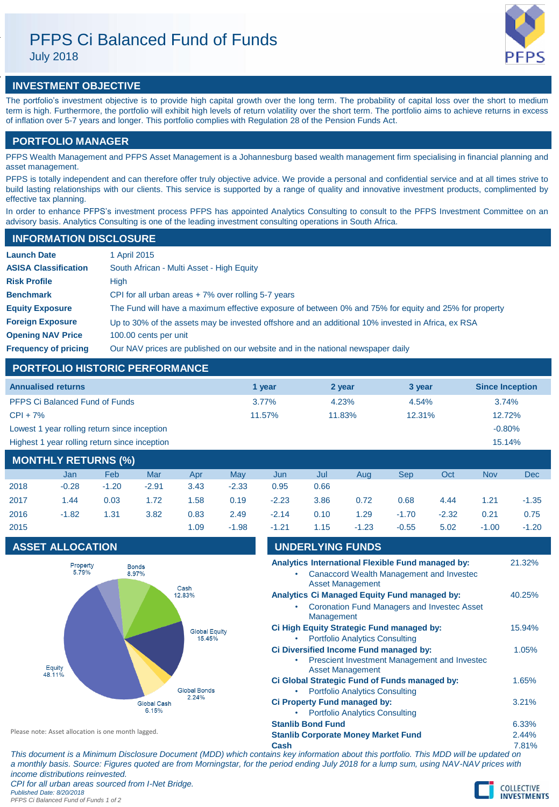# PFPS Ci Balanced Fund of Funds

July 2018



## **INVESTMENT OBJECTIVE**

The portfolio's investment objective is to provide high capital growth over the long term. The probability of capital loss over the short to medium term is high. Furthermore, the portfolio will exhibit high levels of return volatility over the short term. The portfolio aims to achieve returns in excess of inflation over 5-7 years and longer. This portfolio complies with Regulation 28 of the Pension Funds Act.

## **PORTFOLIO MANAGER**

PFPS Wealth Management and PFPS Asset Management is a Johannesburg based wealth management firm specialising in financial planning and asset management.

PFPS is totally independent and can therefore offer truly objective advice. We provide a personal and confidential service and at all times strive to build lasting relationships with our clients. This service is supported by a range of quality and innovative investment products, complimented by effective tax planning.

In order to enhance PFPS's investment process PFPS has appointed Analytics Consulting to consult to the PFPS Investment Committee on an advisory basis. Analytics Consulting is one of the leading investment consulting operations in South Africa.

## **INFORMATION DISCLOSURE**

| <b>Launch Date</b>          | 1 April 2015                                                                                          |
|-----------------------------|-------------------------------------------------------------------------------------------------------|
| <b>ASISA Classification</b> | South African - Multi Asset - High Equity                                                             |
| <b>Risk Profile</b>         | High                                                                                                  |
| <b>Benchmark</b>            | CPI for all urban areas $+7\%$ over rolling 5-7 years                                                 |
| <b>Equity Exposure</b>      | The Fund will have a maximum effective exposure of between 0% and 75% for equity and 25% for property |
| <b>Foreign Exposure</b>     | Up to 30% of the assets may be invested offshore and an additional 10% invested in Africa, ex RSA     |
| <b>Opening NAV Price</b>    | 100.00 cents per unit                                                                                 |
| <b>Frequency of pricing</b> | Our NAV prices are published on our website and in the national newspaper daily                       |

## **PORTFOLIO HISTORIC PERFORMANCE**

| <b>Annualised returns</b>                               | 1 vear   | 2 year | 3 year | <b>Since Inception</b> |  |
|---------------------------------------------------------|----------|--------|--------|------------------------|--|
| <b>PFPS Ci Balanced Fund of Funds</b>                   | $3.77\%$ | 4.23%  | 4.54%  | 3.74%                  |  |
| $CPI + 7%$                                              | 11.57%   | 11.83% | 12.31% | 12.72%                 |  |
| Lowest 1 year rolling return since inception            |          |        |        | $-0.80%$               |  |
| Highest 1 year rolling return since inception<br>15.14% |          |        |        |                        |  |
| <b>MAUTULY BETUBUA (0/1)</b>                            |          |        |        |                        |  |

| MONTHLY RETURNS (%) |            |         |      |         |         |      |         |         |         |            |            |
|---------------------|------------|---------|------|---------|---------|------|---------|---------|---------|------------|------------|
| Jan                 | <b>Feb</b> | Mar     | Apr  | May     | Jun     | Jul  | Aug     | Sep     | Oct     | <b>Nov</b> | <b>Dec</b> |
| $-0.28$             | $-1.20$    | $-2.91$ | 3.43 | $-2.33$ | 0.95    | 0.66 |         |         |         |            |            |
| 1.44                | 0.03       | 1.72    | 1.58 | 0.19    | $-2.23$ | 3.86 | 0.72    | 0.68    | 4.44    | 1.21       | $-1.35$    |
| $-1.82$             | 1.31       | 3.82    | 0.83 | 2.49    | $-2.14$ | 0.10 | 1.29    | $-1.70$ | $-2.32$ | 0.21       | 0.75       |
|                     |            |         | 1.09 | $-1.98$ | $-1.21$ | 1.15 | $-1.23$ | $-0.55$ | 5.02    | $-1.00$    | $-1.20$    |
|                     |            |         |      |         |         |      |         |         |         |            |            |

## **ASSET ALLOCATION**



|      |                          |                                                                         | v.ve | . . <u>.</u> . |
|------|--------------------------|-------------------------------------------------------------------------|------|----------------|
|      |                          | <b>UNDERLYING FUNDS</b>                                                 |      |                |
|      |                          | Analytics International Flexible Fund managed by:                       |      | 21.32%         |
|      |                          | Canaccord Wealth Management and Investec<br><b>Asset Management</b>     |      |                |
|      |                          | Analytics Ci Managed Equity Fund managed by:                            |      | 40.25%         |
|      | Management               | <b>Coronation Fund Managers and Investec Asset</b>                      |      |                |
|      |                          | Ci High Equity Strategic Fund managed by:                               |      | 15.94%         |
|      |                          | <b>Portfolio Analytics Consulting</b>                                   |      |                |
|      |                          | Ci Diversified Income Fund managed by:                                  |      | 1.05%          |
|      |                          | Prescient Investment Management and Investec<br><b>Asset Management</b> |      |                |
|      |                          | Ci Global Strategic Fund of Funds managed by:                           |      | 1.65%          |
|      |                          | <b>Portfolio Analytics Consulting</b>                                   |      |                |
|      |                          | Ci Property Fund managed by:                                            |      | 3.21%          |
|      |                          | <b>Portfolio Analytics Consulting</b>                                   |      |                |
|      | <b>Stanlib Bond Fund</b> |                                                                         |      | 6.33%          |
|      |                          | <b>Stanlib Corporate Money Market Fund</b>                              |      | 2.44%          |
| Cash |                          |                                                                         |      | 7.81%          |

*This document is a Minimum Disclosure Document (MDD) which contains key information about this portfolio. This MDD will be updated on a monthly basis. Source: Figures quoted are from Morningstar, for the period ending July 2018 for a lump sum, using NAV-NAV prices with income distributions reinvested.*

*CPI for all urban areas sourced from I-Net Bridge. Published Date: 8/20/2018*

Please note: Asset allocation is one month lagged.